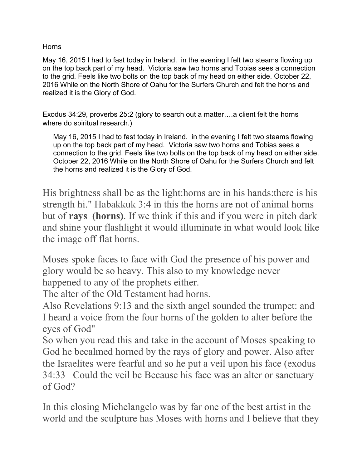## Horns

May 16, 2015 I had to fast today in Ireland. in the evening I felt two steams flowing up on the top back part of my head. Victoria saw two horns and Tobias sees a connection to the grid. Feels like two bolts on the top back of my head on either side. October 22, 2016 While on the North Shore of Oahu for the Surfers Church and felt the horns and realized it is the Glory of God.

Exodus 34:29, proverbs 25:2 (glory to search out a matter….a client felt the horns where do spiritual research.)

May 16, 2015 I had to fast today in Ireland. in the evening I felt two steams flowing up on the top back part of my head. Victoria saw two horns and Tobias sees a connection to the grid. Feels like two bolts on the top back of my head on either side. October 22, 2016 While on the North Shore of Oahu for the Surfers Church and felt the horns and realized it is the Glory of God.

His brightness shall be as the light:horns are in his hands:there is his strength hi." Habakkuk 3:4 in this the horns are not of animal horns but of **rays (horns)**. If we think if this and if you were in pitch dark and shine your flashlight it would illuminate in what would look like the image off flat horns.

Moses spoke faces to face with God the presence of his power and glory would be so heavy. This also to my knowledge never happened to any of the prophets either.

The alter of the Old Testament had horns.

Also Revelations 9:13 and the sixth angel sounded the trumpet: and I heard a voice from the four horns of the golden to alter before the eyes of God"

So when you read this and take in the account of Moses speaking to God he becalmed horned by the rays of glory and power. Also after the Israelites were fearful and so he put a veil upon his face (exodus 34:33 Could the veil be Because his face was an alter or sanctuary of God?

In this closing Michelangelo was by far one of the best artist in the world and the sculpture has Moses with horns and I believe that they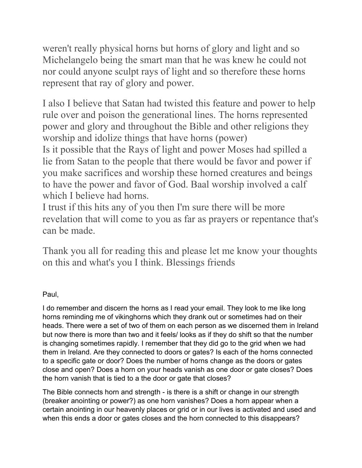weren't really physical horns but horns of glory and light and so Michelangelo being the smart man that he was knew he could not nor could anyone sculpt rays of light and so therefore these horns represent that ray of glory and power.

I also I believe that Satan had twisted this feature and power to help rule over and poison the generational lines. The horns represented power and glory and throughout the Bible and other religions they worship and idolize things that have horns (power) Is it possible that the Rays of light and power Moses had spilled a lie from Satan to the people that there would be favor and power if you make sacrifices and worship these horned creatures and beings to have the power and favor of God. Baal worship involved a calf which I believe had horns.

I trust if this hits any of you then I'm sure there will be more revelation that will come to you as far as prayers or repentance that's can be made.

Thank you all for reading this and please let me know your thoughts on this and what's you I think. Blessings friends

# Paul,

I do remember and discern the horns as I read your email. They look to me like long horns reminding me of vikinghorns which they drank out or sometimes had on their heads. There were a set of two of them on each person as we discerned them in Ireland but now there is more than two and it feels/ looks as if they do shift so that the number is changing sometimes rapidly. I remember that they did go to the grid when we had them in Ireland. Are they connected to doors or gates? Is each of the horns connected to a specific gate or door? Does the number of horns change as the doors or gates close and open? Does a horn on your heads vanish as one door or gate closes? Does the horn vanish that is tied to a the door or gate that closes?

The Bible connects horn and strength - is there is a shift or change in our strength (breaker anointing or power?) as one horn vanishes? Does a horn appear when a certain anointing in our heavenly places or grid or in our lives is activated and used and when this ends a door or gates closes and the horn connected to this disappears?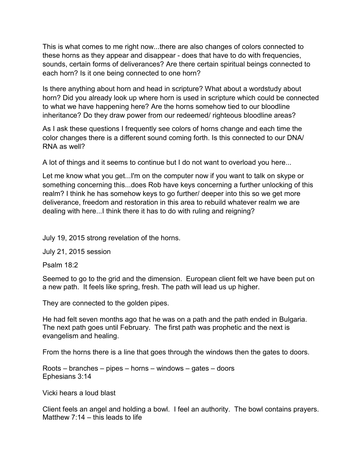This is what comes to me right now...there are also changes of colors connected to these horns as they appear and disappear - does that have to do with frequencies, sounds, certain forms of deliverances? Are there certain spiritual beings connected to each horn? Is it one being connected to one horn?

Is there anything about horn and head in scripture? What about a wordstudy about horn? Did you already look up where horn is used in scripture which could be connected to what we have happening here? Are the horns somehow tied to our bloodline inheritance? Do they draw power from our redeemed/ righteous bloodline areas?

As I ask these questions I frequently see colors of horns change and each time the color changes there is a different sound coming forth. Is this connected to our DNA/ RNA as well?

A lot of things and it seems to continue but I do not want to overload you here...

Let me know what you get...I'm on the computer now if you want to talk on skype or something concerning this...does Rob have keys concerning a further unlocking of this realm? I think he has somehow keys to go further/ deeper into this so we get more deliverance, freedom and restoration in this area to rebuild whatever realm we are dealing with here...I think there it has to do with ruling and reigning?

July 19, 2015 strong revelation of the horns.

July 21, 2015 session

Psalm 18:2

Seemed to go to the grid and the dimension. European client felt we have been put on a new path. It feels like spring, fresh. The path will lead us up higher.

They are connected to the golden pipes.

He had felt seven months ago that he was on a path and the path ended in Bulgaria. The next path goes until February. The first path was prophetic and the next is evangelism and healing.

From the horns there is a line that goes through the windows then the gates to doors.

Roots – branches – pipes – horns – windows – gates – doors Ephesians 3:14

Vicki hears a loud blast

Client feels an angel and holding a bowl. I feel an authority. The bowl contains prayers. Matthew  $7:14 -$  this leads to life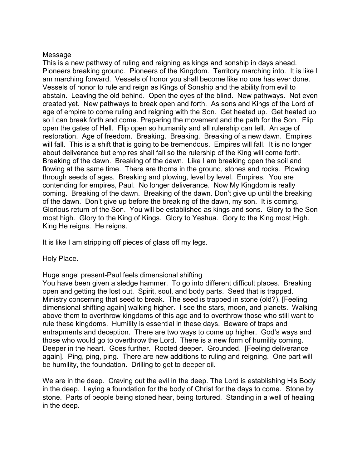#### Message

This is a new pathway of ruling and reigning as kings and sonship in days ahead. Pioneers breaking ground. Pioneers of the Kingdom. Territory marching into. It is like I am marching forward. Vessels of honor you shall become like no one has ever done. Vessels of honor to rule and reign as Kings of Sonship and the ability from evil to abstain. Leaving the old behind. Open the eyes of the blind. New pathways. Not even created yet. New pathways to break open and forth. As sons and Kings of the Lord of age of empire to come ruling and reigning with the Son. Get heated up. Get heated up so I can break forth and come. Preparing the movement and the path for the Son. Flip open the gates of Hell. Flip open so humanity and all rulership can tell. An age of restoration. Age of freedom. Breaking. Breaking. Breaking of a new dawn. Empires will fall. This is a shift that is going to be tremendous. Empires will fall. It is no longer about deliverance but empires shall fall so the rulership of the King will come forth. Breaking of the dawn. Breaking of the dawn. Like I am breaking open the soil and flowing at the same time. There are thorns in the ground, stones and rocks. Plowing through seeds of ages. Breaking and plowing, level by level. Empires. You are contending for empires, Paul. No longer deliverance. Now My Kingdom is really coming. Breaking of the dawn. Breaking of the dawn. Don't give up until the breaking of the dawn. Don't give up before the breaking of the dawn, my son. It is coming. Glorious return of the Son. You will be established as kings and sons. Glory to the Son most high. Glory to the King of Kings. Glory to Yeshua. Gory to the King most High. King He reigns. He reigns.

It is like I am stripping off pieces of glass off my legs.

Holy Place.

Huge angel present-Paul feels dimensional shifting

You have been given a sledge hammer. To go into different difficult places. Breaking open and getting the lost out. Spirit, soul, and body parts. Seed that is trapped. Ministry concerning that seed to break. The seed is trapped in stone (old?). [Feeling dimensional shifting again] walking higher. I see the stars, moon, and planets. Walking above them to overthrow kingdoms of this age and to overthrow those who still want to rule these kingdoms. Humility is essential in these days. Beware of traps and entrapments and deception. There are two ways to come up higher. God's ways and those who would go to overthrow the Lord. There is a new form of humility coming. Deeper in the heart. Goes further. Rooted deeper. Grounded. [Feeling deliverance again]. Ping, ping, ping. There are new additions to ruling and reigning. One part will be humility, the foundation. Drilling to get to deeper oil.

We are in the deep. Craving out the evil in the deep. The Lord is establishing His Body in the deep. Laying a foundation for the body of Christ for the days to come. Stone by stone. Parts of people being stoned hear, being tortured. Standing in a well of healing in the deep.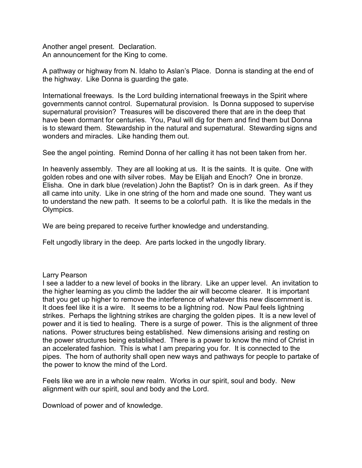Another angel present. Declaration. An announcement for the King to come.

A pathway or highway from N. Idaho to Aslan's Place. Donna is standing at the end of the highway. Like Donna is guarding the gate.

International freeways. Is the Lord building international freeways in the Spirit where governments cannot control. Supernatural provision. Is Donna supposed to supervise supernatural provision? Treasures will be discovered there that are in the deep that have been dormant for centuries. You, Paul will dig for them and find them but Donna is to steward them. Stewardship in the natural and supernatural. Stewarding signs and wonders and miracles. Like handing them out.

See the angel pointing. Remind Donna of her calling it has not been taken from her.

In heavenly assembly. They are all looking at us. It is the saints. It is quite. One with golden robes and one with silver robes. May be Elijah and Enoch? One in bronze. Elisha. One in dark blue (revelation) John the Baptist? On is in dark green. As if they all came into unity. Like in one string of the horn and made one sound. They want us to understand the new path. It seems to be a colorful path. It is like the medals in the Olympics.

We are being prepared to receive further knowledge and understanding.

Felt ungodly library in the deep. Are parts locked in the ungodly library.

Larry Pearson

I see a ladder to a new level of books in the library. Like an upper level. An invitation to the higher learning as you climb the ladder the air will become clearer. It is important that you get up higher to remove the interference of whatever this new discernment is. It does feel like it is a wire. It seems to be a lightning rod. Now Paul feels lightning strikes. Perhaps the lightning strikes are charging the golden pipes. It is a new level of power and it is tied to healing. There is a surge of power. This is the alignment of three nations. Power structures being established. New dimensions arising and resting on the power structures being established. There is a power to know the mind of Christ in an accelerated fashion. This is what I am preparing you for. It is connected to the pipes. The horn of authority shall open new ways and pathways for people to partake of the power to know the mind of the Lord.

Feels like we are in a whole new realm. Works in our spirit, soul and body. New alignment with our spirit, soul and body and the Lord.

Download of power and of knowledge.